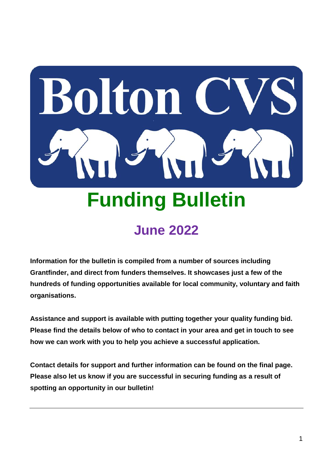

# **June 2022**

**Information for the bulletin is compiled from a number of sources including Grantfinder, and direct from funders themselves. It showcases just a few of the hundreds of funding opportunities available for local community, voluntary and faith organisations.** 

**Assistance and support is available with putting together your quality funding bid. Please find the details below of who to contact in your area and get in touch to see how we can work with you to help you achieve a successful application.**

**Contact details for support and further information can be found on the final page. Please also let us know if you are successful in securing funding as a result of spotting an opportunity in our bulletin!**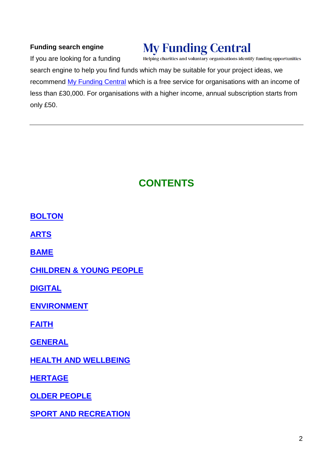#### **Funding search engine**

# **My Funding Central**

If you are looking for a funding

Helping charities and voluntary organisations identify funding opportunities

search engine to help you find funds which may be suitable for your project ideas, we recommend [My Funding Central](https://www.myfundingcentral.co.uk/) which is a free service for organisations with an income of less than £30,000. For organisations with a higher income, annual subscription starts from only £50.

#### **CONTENTS**

**[BOLTON](#page-2-0)**

**ARTS**

**[BAME](#page-7-0)**

**[CHILDREN & YOUNG PEOPLE](#page-7-1)**

**[DIGITAL](#page-14-0)**

**[ENVIRONMENT](#page-15-0)**

**[FAITH](#page-18-0)**

**[GENERAL](#page-21-0)**

**[HEALTH AND WELLBEING](#page-25-0)**

**[HERTAGE](#page-29-0)**

**[OLDER PEOPLE](#page-32-0)**

**[SPORT AND RECREATION](#page-34-0)**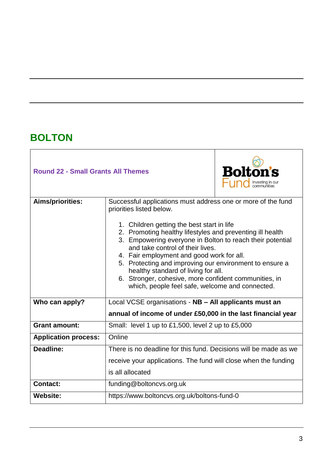### <span id="page-2-0"></span>**BOLTON**

| <b>Round 22 - Small Grants All Themes</b> |                                                                                                                                                                                                                                                                                                                                                                                                                                                     | <b>Bolton's</b> |  |
|-------------------------------------------|-----------------------------------------------------------------------------------------------------------------------------------------------------------------------------------------------------------------------------------------------------------------------------------------------------------------------------------------------------------------------------------------------------------------------------------------------------|-----------------|--|
| Aims/priorities:                          | Successful applications must address one or more of the fund<br>priorities listed below.<br>1. Children getting the best start in life<br>2. Promoting healthy lifestyles and preventing ill health<br>3. Empowering everyone in Bolton to reach their potential<br>and take control of their lives.<br>4. Fair employment and good work for all.<br>5. Protecting and improving our environment to ensure a<br>healthy standard of living for all. |                 |  |
|                                           | 6. Stronger, cohesive, more confident communities, in<br>which, people feel safe, welcome and connected.                                                                                                                                                                                                                                                                                                                                            |                 |  |
| Who can apply?                            | Local VCSE organisations - NB - All applicants must an                                                                                                                                                                                                                                                                                                                                                                                              |                 |  |
|                                           | annual of income of under £50,000 in the last financial year                                                                                                                                                                                                                                                                                                                                                                                        |                 |  |
| <b>Grant amount:</b>                      | Small: level 1 up to £1,500, level 2 up to £5,000                                                                                                                                                                                                                                                                                                                                                                                                   |                 |  |
| <b>Application process:</b>               | Online                                                                                                                                                                                                                                                                                                                                                                                                                                              |                 |  |
| Deadline:                                 | There is no deadline for this fund. Decisions will be made as we                                                                                                                                                                                                                                                                                                                                                                                    |                 |  |
|                                           | receive your applications. The fund will close when the funding                                                                                                                                                                                                                                                                                                                                                                                     |                 |  |
|                                           | is all allocated                                                                                                                                                                                                                                                                                                                                                                                                                                    |                 |  |
| <b>Contact:</b>                           | funding@boltoncvs.org.uk                                                                                                                                                                                                                                                                                                                                                                                                                            |                 |  |
| <b>Website:</b>                           | https://www.boltoncvs.org.uk/boltons-fund-0                                                                                                                                                                                                                                                                                                                                                                                                         |                 |  |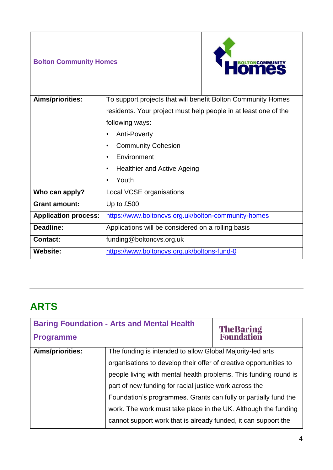#### **Bolton Community Homes**



| Aims/priorities:            | To support projects that will benefit Bolton Community Homes<br>residents. Your project must help people in at least one of the<br>following ways:<br>Anti-Poverty |  |
|-----------------------------|--------------------------------------------------------------------------------------------------------------------------------------------------------------------|--|
|                             |                                                                                                                                                                    |  |
|                             |                                                                                                                                                                    |  |
|                             |                                                                                                                                                                    |  |
|                             | <b>Community Cohesion</b>                                                                                                                                          |  |
|                             | Environment<br><b>Healthier and Active Ageing</b><br>٠                                                                                                             |  |
|                             |                                                                                                                                                                    |  |
|                             | Youth<br>٠                                                                                                                                                         |  |
| Who can apply?              | Local VCSE organisations                                                                                                                                           |  |
| <b>Grant amount:</b>        | Up to £500                                                                                                                                                         |  |
| <b>Application process:</b> | https://www.boltoncvs.org.uk/bolton-community-homes                                                                                                                |  |
| Deadline:                   | Applications will be considered on a rolling basis                                                                                                                 |  |
| <b>Contact:</b>             | funding@boltoncvs.org.uk                                                                                                                                           |  |
| <b>Website:</b>             | https://www.boltoncvs.org.uk/boltons-fund-0                                                                                                                        |  |

### **ARTS**

| <b>Baring Foundation - Arts and Mental Health</b> |                                                                   |                                  |
|---------------------------------------------------|-------------------------------------------------------------------|----------------------------------|
| <b>Programme</b>                                  |                                                                   | <b>The Baring<br/>Foundation</b> |
| <b>Aims/priorities:</b>                           | The funding is intended to allow Global Majority-led arts         |                                  |
|                                                   | organisations to develop their offer of creative opportunities to |                                  |
|                                                   | people living with mental health problems. This funding round is  |                                  |
|                                                   | part of new funding for racial justice work across the            |                                  |
|                                                   | Foundation's programmes. Grants can fully or partially fund the   |                                  |
|                                                   | work. The work must take place in the UK. Although the funding    |                                  |
|                                                   | cannot support work that is already funded, it can support the    |                                  |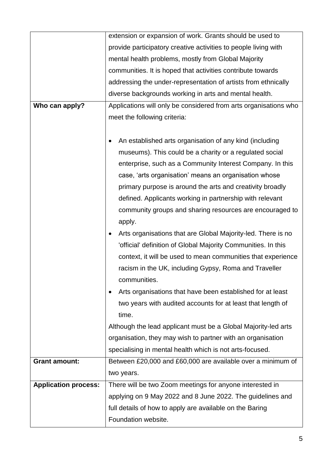|                             | extension or expansion of work. Grants should be used to         |  |
|-----------------------------|------------------------------------------------------------------|--|
|                             | provide participatory creative activities to people living with  |  |
|                             | mental health problems, mostly from Global Majority              |  |
|                             | communities. It is hoped that activities contribute towards      |  |
|                             | addressing the under-representation of artists from ethnically   |  |
|                             | diverse backgrounds working in arts and mental health.           |  |
| Who can apply?              | Applications will only be considered from arts organisations who |  |
|                             | meet the following criteria:                                     |  |
|                             |                                                                  |  |
|                             | An established arts organisation of any kind (including          |  |
|                             | museums). This could be a charity or a regulated social          |  |
|                             | enterprise, such as a Community Interest Company. In this        |  |
|                             | case, 'arts organisation' means an organisation whose            |  |
|                             | primary purpose is around the arts and creativity broadly        |  |
|                             | defined. Applicants working in partnership with relevant         |  |
|                             | community groups and sharing resources are encouraged to         |  |
|                             | apply.                                                           |  |
|                             | Arts organisations that are Global Majority-led. There is no     |  |
|                             | 'official' definition of Global Majority Communities. In this    |  |
|                             | context, it will be used to mean communities that experience     |  |
|                             | racism in the UK, including Gypsy, Roma and Traveller            |  |
|                             | communities.                                                     |  |
|                             | Arts organisations that have been established for at least       |  |
|                             | two years with audited accounts for at least that length of      |  |
|                             | time.                                                            |  |
|                             | Although the lead applicant must be a Global Majority-led arts   |  |
|                             | organisation, they may wish to partner with an organisation      |  |
|                             | specialising in mental health which is not arts-focused.         |  |
| <b>Grant amount:</b>        | Between £20,000 and £60,000 are available over a minimum of      |  |
|                             | two years.                                                       |  |
| <b>Application process:</b> | There will be two Zoom meetings for anyone interested in         |  |
|                             | applying on 9 May 2022 and 8 June 2022. The guidelines and       |  |
|                             | full details of how to apply are available on the Baring         |  |
|                             | Foundation website.                                              |  |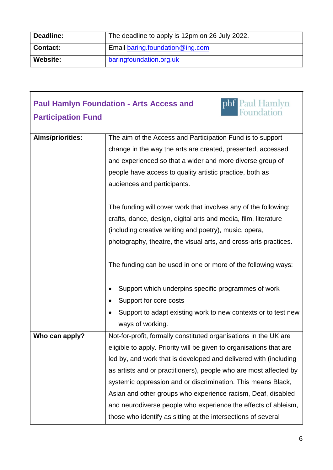| <b>Deadline:</b> | The deadline to apply is 12pm on 26 July 2022. |
|------------------|------------------------------------------------|
| Contact:         | Email baring.foundation@ing.com                |
| Website:         | baringfoundation.org.uk                        |

| <b>Participation Fund</b> | phf Paul Hamlyn<br><b>Paul Hamlyn Foundation - Arts Access and</b>  |  |  |
|---------------------------|---------------------------------------------------------------------|--|--|
| Aims/priorities:          | The aim of the Access and Participation Fund is to support          |  |  |
|                           | change in the way the arts are created, presented, accessed         |  |  |
|                           | and experienced so that a wider and more diverse group of           |  |  |
|                           | people have access to quality artistic practice, both as            |  |  |
|                           | audiences and participants.                                         |  |  |
|                           |                                                                     |  |  |
|                           | The funding will cover work that involves any of the following:     |  |  |
|                           | crafts, dance, design, digital arts and media, film, literature     |  |  |
|                           | (including creative writing and poetry), music, opera,              |  |  |
|                           | photography, theatre, the visual arts, and cross-arts practices.    |  |  |
|                           | The funding can be used in one or more of the following ways:       |  |  |
|                           | Support which underpins specific programmes of work                 |  |  |
|                           | Support for core costs                                              |  |  |
|                           | Support to adapt existing work to new contexts or to test new       |  |  |
|                           | ways of working.                                                    |  |  |
| Who can apply?            | Not-for-profit, formally constituted organisations in the UK are    |  |  |
|                           | eligible to apply. Priority will be given to organisations that are |  |  |
|                           | led by, and work that is developed and delivered with (including    |  |  |
|                           | as artists and or practitioners), people who are most affected by   |  |  |
|                           | systemic oppression and or discrimination. This means Black,        |  |  |
|                           | Asian and other groups who experience racism, Deaf, disabled        |  |  |
|                           | and neurodiverse people who experience the effects of ableism,      |  |  |
|                           | those who identify as sitting at the intersections of several       |  |  |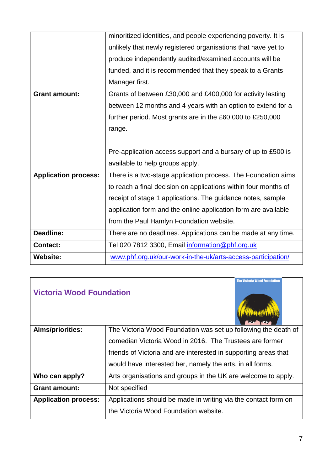|                             | minoritized identities, and people experiencing poverty. It is  |  |
|-----------------------------|-----------------------------------------------------------------|--|
|                             | unlikely that newly registered organisations that have yet to   |  |
|                             | produce independently audited/examined accounts will be         |  |
|                             | funded, and it is recommended that they speak to a Grants       |  |
|                             | Manager first.                                                  |  |
| <b>Grant amount:</b>        | Grants of between £30,000 and £400,000 for activity lasting     |  |
|                             | between 12 months and 4 years with an option to extend for a    |  |
|                             | further period. Most grants are in the £60,000 to £250,000      |  |
|                             | range.                                                          |  |
|                             |                                                                 |  |
|                             | Pre-application access support and a bursary of up to £500 is   |  |
|                             | available to help groups apply.                                 |  |
| <b>Application process:</b> | There is a two-stage application process. The Foundation aims   |  |
|                             | to reach a final decision on applications within four months of |  |
|                             | receipt of stage 1 applications. The guidance notes, sample     |  |
|                             | application form and the online application form are available  |  |
|                             | from the Paul Hamlyn Foundation website.                        |  |
| <b>Deadline:</b>            | There are no deadlines. Applications can be made at any time.   |  |
| <b>Contact:</b>             | Tel 020 7812 3300, Email information@phf.org.uk                 |  |
| <b>Website:</b>             |                                                                 |  |

| <b>Victoria Wood Foundation</b> | <b>The Victoria Wood Foundation</b>                                                                                                                                                                                                                       |  |
|---------------------------------|-----------------------------------------------------------------------------------------------------------------------------------------------------------------------------------------------------------------------------------------------------------|--|
| Aims/priorities:                | The Victoria Wood Foundation was set up following the death of<br>comedian Victoria Wood in 2016. The Trustees are former<br>friends of Victoria and are interested in supporting areas that<br>would have interested her, namely the arts, in all forms. |  |
| Who can apply?                  | Arts organisations and groups in the UK are welcome to apply.                                                                                                                                                                                             |  |
| <b>Grant amount:</b>            | Not specified                                                                                                                                                                                                                                             |  |
| <b>Application process:</b>     | Applications should be made in writing via the contact form on<br>the Victoria Wood Foundation website.                                                                                                                                                   |  |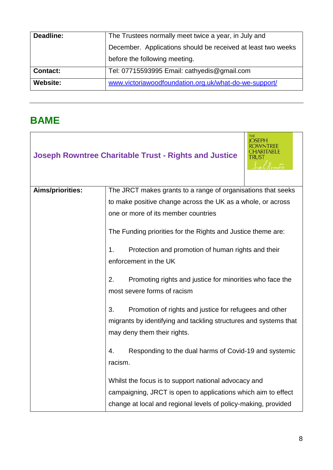| Deadline:       | The Trustees normally meet twice a year, in July and<br>December. Applications should be received at least two weeks |  |
|-----------------|----------------------------------------------------------------------------------------------------------------------|--|
|                 |                                                                                                                      |  |
|                 | before the following meeting.                                                                                        |  |
| <b>Contact:</b> | Tel: 07715593995 Email: cathyedis@gmail.com                                                                          |  |
| <b>Website:</b> | www.victoriawoodfoundation.org.uk/what-do-we-support/                                                                |  |

#### <span id="page-7-1"></span><span id="page-7-0"></span>**BAME**

|                  | <b>Joseph Rowntree Charitable Trust - Rights and Justice</b>                                                                                                    |  |  |
|------------------|-----------------------------------------------------------------------------------------------------------------------------------------------------------------|--|--|
| Aims/priorities: | The JRCT makes grants to a range of organisations that seeks                                                                                                    |  |  |
|                  | to make positive change across the UK as a whole, or across                                                                                                     |  |  |
|                  | one or more of its member countries                                                                                                                             |  |  |
|                  | The Funding priorities for the Rights and Justice theme are:                                                                                                    |  |  |
|                  | Protection and promotion of human rights and their<br>1.<br>enforcement in the UK                                                                               |  |  |
|                  | 2.<br>Promoting rights and justice for minorities who face the<br>most severe forms of racism                                                                   |  |  |
|                  | 3.<br>Promotion of rights and justice for refugees and other<br>migrants by identifying and tackling structures and systems that<br>may deny them their rights. |  |  |
|                  | Responding to the dual harms of Covid-19 and systemic<br>4.<br>racism.                                                                                          |  |  |
|                  | Whilst the focus is to support national advocacy and                                                                                                            |  |  |
|                  | campaigning, JRCT is open to applications which aim to effect                                                                                                   |  |  |
|                  | change at local and regional levels of policy-making, provided                                                                                                  |  |  |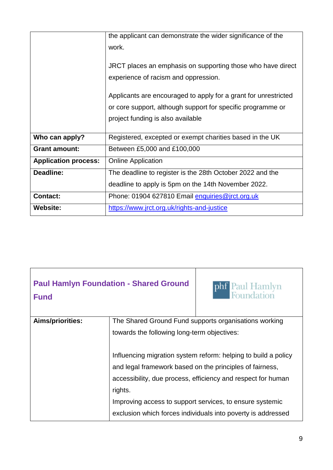|                             | the applicant can demonstrate the wider significance of the     |  |
|-----------------------------|-----------------------------------------------------------------|--|
|                             | work.                                                           |  |
|                             |                                                                 |  |
|                             | JRCT places an emphasis on supporting those who have direct     |  |
|                             | experience of racism and oppression.                            |  |
|                             |                                                                 |  |
|                             | Applicants are encouraged to apply for a grant for unrestricted |  |
|                             | or core support, although support for specific programme or     |  |
|                             | project funding is also available                               |  |
|                             |                                                                 |  |
| Who can apply?              | Registered, excepted or exempt charities based in the UK        |  |
| <b>Grant amount:</b>        | Between £5,000 and £100,000                                     |  |
| <b>Application process:</b> | <b>Online Application</b>                                       |  |
| <b>Deadline:</b>            | The deadline to register is the 28th October 2022 and the       |  |
|                             | deadline to apply is 5pm on the 14th November 2022.             |  |
| <b>Contact:</b>             | Phone: 01904 627810 Email enquiries@jrct.org.uk                 |  |
| <b>Website:</b>             | https://www.jrct.org.uk/rights-and-justice                      |  |

| <b>Fund</b>      | <b>Paul Hamlyn Foundation - Shared Ground</b>                  | phf Paul Hamlyn<br>Foundation                                |  |
|------------------|----------------------------------------------------------------|--------------------------------------------------------------|--|
| Aims/priorities: | The Shared Ground Fund supports organisations working          |                                                              |  |
|                  | towards the following long-term objectives:                    |                                                              |  |
|                  | Influencing migration system reform: helping to build a policy |                                                              |  |
|                  | and legal framework based on the principles of fairness,       |                                                              |  |
|                  | accessibility, due process, efficiency and respect for human   |                                                              |  |
|                  | rights.                                                        |                                                              |  |
|                  |                                                                | Improving access to support services, to ensure systemic     |  |
|                  |                                                                | exclusion which forces individuals into poverty is addressed |  |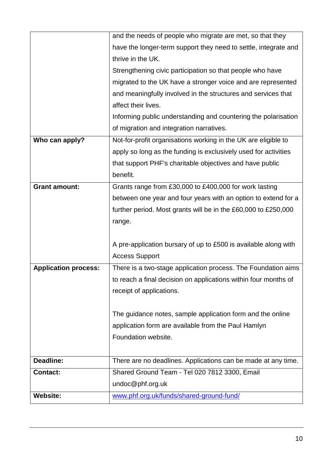|                             | and the needs of people who migrate are met, so that they       |
|-----------------------------|-----------------------------------------------------------------|
|                             | have the longer-term support they need to settle, integrate and |
|                             | thrive in the UK.                                               |
|                             | Strengthening civic participation so that people who have       |
|                             | migrated to the UK have a stronger voice and are represented    |
|                             | and meaningfully involved in the structures and services that   |
|                             | affect their lives.                                             |
|                             | Informing public understanding and countering the polarisation  |
|                             | of migration and integration narratives.                        |
| Who can apply?              | Not-for-profit organisations working in the UK are eligible to  |
|                             | apply so long as the funding is exclusively used for activities |
|                             | that support PHF's charitable objectives and have public        |
|                             | benefit.                                                        |
| <b>Grant amount:</b>        | Grants range from £30,000 to £400,000 for work lasting          |
|                             | between one year and four years with an option to extend for a  |
|                             | further period. Most grants will be in the £60,000 to £250,000  |
|                             | range.                                                          |
|                             |                                                                 |
|                             | A pre-application bursary of up to £500 is available along with |
|                             | <b>Access Support</b>                                           |
| <b>Application process:</b> | There is a two-stage application process. The Foundation aims   |
|                             | to reach a final decision on applications within four months of |
|                             | receipt of applications.                                        |
|                             |                                                                 |
|                             | The guidance notes, sample application form and the online      |
|                             | application form are available from the Paul Hamlyn             |
|                             | Foundation website.                                             |
|                             |                                                                 |
| Deadline:                   | There are no deadlines. Applications can be made at any time.   |
| <b>Contact:</b>             | Shared Ground Team - Tel 020 7812 3300, Email                   |
|                             | undoc@phf.org.uk                                                |
| <b>Website:</b>             | www.phf.org.uk/funds/shared-ground-fund/                        |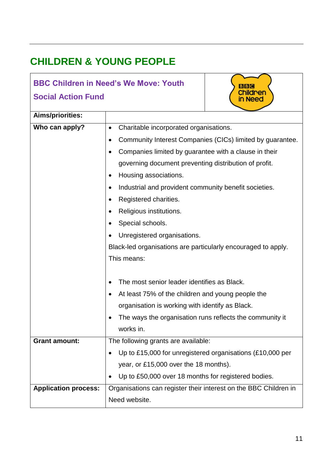## **CHILDREN & YOUNG PEOPLE**

#### **BBC Children in Need's We Move: Youth Social Action Fund**



**BBC Children** in Need

|                             | • Up to £15,000 for unregistered organisations (£10,000 per      |
|-----------------------------|------------------------------------------------------------------|
|                             | year, or £15,000 over the 18 months).                            |
|                             | • Up to £50,000 over 18 months for registered bodies.            |
| <b>Application process:</b> | Organisations can register their interest on the BBC Children in |
|                             | Need website.                                                    |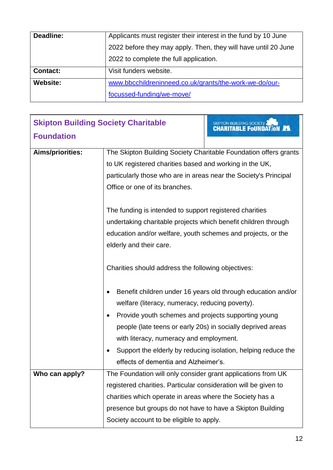| Deadline:       | Applicants must register their interest in the fund by 10 June |
|-----------------|----------------------------------------------------------------|
|                 | 2022 before they may apply. Then, they will have until 20 June |
|                 | 2022 to complete the full application.                         |
| <b>Contact:</b> | Visit funders website.                                         |
| <b>Website:</b> | www.bbcchildreninneed.co.uk/grants/the-work-we-do/our-         |
|                 | focussed-funding/we-move/                                      |

| <b>Skipton Building Society Charitable</b> |                                                                                                                                                                                                                                                                                                       | SKIPTON BUILDING SOCIETY & THE TANK CHARITABLE FOUNDATION                                                                     |
|--------------------------------------------|-------------------------------------------------------------------------------------------------------------------------------------------------------------------------------------------------------------------------------------------------------------------------------------------------------|-------------------------------------------------------------------------------------------------------------------------------|
| <b>Foundation</b>                          |                                                                                                                                                                                                                                                                                                       |                                                                                                                               |
| Aims/priorities:                           | The Skipton Building Society Charitable Foundation offers grants<br>to UK registered charities based and working in the UK,<br>particularly those who are in areas near the Society's Principal<br>Office or one of its branches.                                                                     |                                                                                                                               |
|                                            | The funding is intended to support registered charities<br>undertaking charitable projects which benefit children through<br>education and/or welfare, youth schemes and projects, or the<br>elderly and their care.                                                                                  |                                                                                                                               |
|                                            | Charities should address the following objectives:                                                                                                                                                                                                                                                    |                                                                                                                               |
|                                            | welfare (literacy, numeracy, reducing poverty).<br>Provide youth schemes and projects supporting young<br>people (late teens or early 20s) in socially deprived areas<br>with literacy, numeracy and employment.<br>effects of dementia and Alzheimer's.                                              | Benefit children under 16 years old through education and/or<br>Support the elderly by reducing isolation, helping reduce the |
| Who can apply?                             | The Foundation will only consider grant applications from UK<br>registered charities. Particular consideration will be given to<br>charities which operate in areas where the Society has a<br>presence but groups do not have to have a Skipton Building<br>Society account to be eligible to apply. |                                                                                                                               |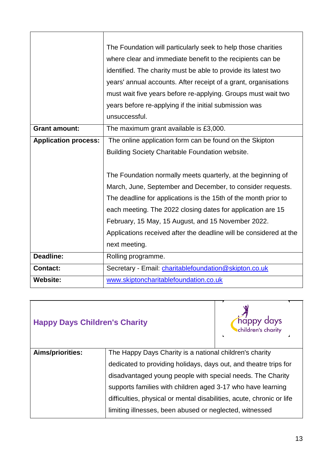|                             | The Foundation will particularly seek to help those charities      |  |
|-----------------------------|--------------------------------------------------------------------|--|
|                             | where clear and immediate benefit to the recipients can be         |  |
|                             | identified. The charity must be able to provide its latest two     |  |
|                             | years' annual accounts. After receipt of a grant, organisations    |  |
|                             | must wait five years before re-applying. Groups must wait two      |  |
|                             | years before re-applying if the initial submission was             |  |
|                             | unsuccessful.                                                      |  |
| <b>Grant amount:</b>        | The maximum grant available is £3,000.                             |  |
| <b>Application process:</b> | The online application form can be found on the Skipton            |  |
|                             | Building Society Charitable Foundation website.                    |  |
|                             |                                                                    |  |
|                             | The Foundation normally meets quarterly, at the beginning of       |  |
|                             | March, June, September and December, to consider requests.         |  |
|                             | The deadline for applications is the 15th of the month prior to    |  |
|                             | each meeting. The 2022 closing dates for application are 15        |  |
|                             | February, 15 May, 15 August, and 15 November 2022.                 |  |
|                             | Applications received after the deadline will be considered at the |  |
|                             | next meeting.                                                      |  |
| <b>Deadline:</b>            | Rolling programme.                                                 |  |
| <b>Contact:</b>             | Secretary - Email: <i>charitablefoundation@skipton.co.uk</i>       |  |
| <b>Website:</b>             | www.skiptoncharitablefoundation.co.uk                              |  |

| <b>Happy Days Children's Charity</b> |                                                                       | happy<br>happy days<br>Ichildren's charity<br>$\overline{ }$ |
|--------------------------------------|-----------------------------------------------------------------------|--------------------------------------------------------------|
| Aims/priorities:                     | The Happy Days Charity is a national children's charity               |                                                              |
|                                      | dedicated to providing holidays, days out, and theatre trips for      |                                                              |
|                                      | disadvantaged young people with special needs. The Charity            |                                                              |
|                                      | supports families with children aged 3-17 who have learning           |                                                              |
|                                      | difficulties, physical or mental disabilities, acute, chronic or life |                                                              |
|                                      | limiting illnesses, been abused or neglected, witnessed               |                                                              |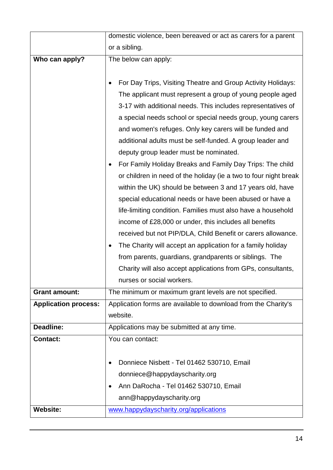|                             | domestic violence, been bereaved or act as carers for a parent                                                                                                                                                                                                                                                                                                                                                                                                                                                                                                                                                                                                                                                                                                                                                                                                                                                                                                                                                                                                                                      |
|-----------------------------|-----------------------------------------------------------------------------------------------------------------------------------------------------------------------------------------------------------------------------------------------------------------------------------------------------------------------------------------------------------------------------------------------------------------------------------------------------------------------------------------------------------------------------------------------------------------------------------------------------------------------------------------------------------------------------------------------------------------------------------------------------------------------------------------------------------------------------------------------------------------------------------------------------------------------------------------------------------------------------------------------------------------------------------------------------------------------------------------------------|
|                             | or a sibling.                                                                                                                                                                                                                                                                                                                                                                                                                                                                                                                                                                                                                                                                                                                                                                                                                                                                                                                                                                                                                                                                                       |
| Who can apply?              | The below can apply:                                                                                                                                                                                                                                                                                                                                                                                                                                                                                                                                                                                                                                                                                                                                                                                                                                                                                                                                                                                                                                                                                |
|                             | For Day Trips, Visiting Theatre and Group Activity Holidays:<br>The applicant must represent a group of young people aged<br>3-17 with additional needs. This includes representatives of<br>a special needs school or special needs group, young carers<br>and women's refuges. Only key carers will be funded and<br>additional adults must be self-funded. A group leader and<br>deputy group leader must be nominated.<br>For Family Holiday Breaks and Family Day Trips: The child<br>or children in need of the holiday (ie a two to four night break<br>within the UK) should be between 3 and 17 years old, have<br>special educational needs or have been abused or have a<br>life-limiting condition. Families must also have a household<br>income of £28,000 or under, this includes all benefits<br>received but not PIP/DLA, Child Benefit or carers allowance.<br>The Charity will accept an application for a family holiday<br>from parents, guardians, grandparents or siblings. The<br>Charity will also accept applications from GPs, consultants,<br>nurses or social workers. |
| <b>Grant amount:</b>        | The minimum or maximum grant levels are not specified.                                                                                                                                                                                                                                                                                                                                                                                                                                                                                                                                                                                                                                                                                                                                                                                                                                                                                                                                                                                                                                              |
| <b>Application process:</b> | Application forms are available to download from the Charity's<br>website.                                                                                                                                                                                                                                                                                                                                                                                                                                                                                                                                                                                                                                                                                                                                                                                                                                                                                                                                                                                                                          |
| <b>Deadline:</b>            | Applications may be submitted at any time.                                                                                                                                                                                                                                                                                                                                                                                                                                                                                                                                                                                                                                                                                                                                                                                                                                                                                                                                                                                                                                                          |
| <b>Contact:</b>             | You can contact:                                                                                                                                                                                                                                                                                                                                                                                                                                                                                                                                                                                                                                                                                                                                                                                                                                                                                                                                                                                                                                                                                    |
|                             | Donniece Nisbett - Tel 01462 530710, Email                                                                                                                                                                                                                                                                                                                                                                                                                                                                                                                                                                                                                                                                                                                                                                                                                                                                                                                                                                                                                                                          |
|                             | donniece@happydayscharity.org                                                                                                                                                                                                                                                                                                                                                                                                                                                                                                                                                                                                                                                                                                                                                                                                                                                                                                                                                                                                                                                                       |
|                             | Ann DaRocha - Tel 01462 530710, Email                                                                                                                                                                                                                                                                                                                                                                                                                                                                                                                                                                                                                                                                                                                                                                                                                                                                                                                                                                                                                                                               |
|                             | ann@happydayscharity.org                                                                                                                                                                                                                                                                                                                                                                                                                                                                                                                                                                                                                                                                                                                                                                                                                                                                                                                                                                                                                                                                            |
| <b>Website:</b>             | www.happydayscharity.org/applications                                                                                                                                                                                                                                                                                                                                                                                                                                                                                                                                                                                                                                                                                                                                                                                                                                                                                                                                                                                                                                                               |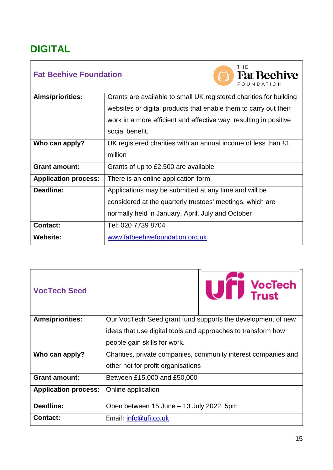### <span id="page-14-0"></span>**DIGITAL**

| <b>Fat Beehive Foundation</b> |                                                                    | THE<br><b>Fat Beehive</b><br>FOUNDATION |
|-------------------------------|--------------------------------------------------------------------|-----------------------------------------|
| Aims/priorities:              | Grants are available to small UK registered charities for building |                                         |
|                               | websites or digital products that enable them to carry out their   |                                         |
|                               | work in a more efficient and effective way, resulting in positive  |                                         |
|                               | social benefit.                                                    |                                         |
| Who can apply?                | UK registered charities with an annual income of less than £1      |                                         |
|                               | million                                                            |                                         |
| <b>Grant amount:</b>          | Grants of up to £2,500 are available                               |                                         |
| <b>Application process:</b>   | There is an online application form                                |                                         |
| Deadline:                     | Applications may be submitted at any time and will be              |                                         |
|                               | considered at the quarterly trustees' meetings, which are          |                                         |
|                               | normally held in January, April, July and October                  |                                         |
| <b>Contact:</b>               | Tel: 020 7739 8704                                                 |                                         |
| <b>Website:</b>               | www.fatbeehivefoundation.org.uk                                    |                                         |

a an

| <b>VocTech Seed</b>         | Uff VocTech                                                    |  |
|-----------------------------|----------------------------------------------------------------|--|
| <b>Aims/priorities:</b>     | Our VocTech Seed grant fund supports the development of new    |  |
|                             | ideas that use digital tools and approaches to transform how   |  |
|                             | people gain skills for work.                                   |  |
| Who can apply?              | Charities, private companies, community interest companies and |  |
|                             | other not for profit organisations                             |  |
| <b>Grant amount:</b>        | Between £15,000 and £50,000                                    |  |
| <b>Application process:</b> | Online application                                             |  |
| Deadline:                   | Open between 15 June - 13 July 2022, 5pm                       |  |
| <b>Contact:</b>             | Email: info@ufi.co.uk                                          |  |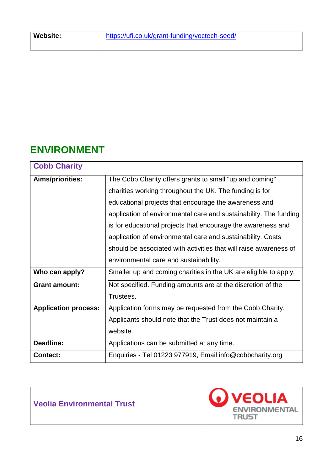### <span id="page-15-0"></span>**ENVIRONMENT**

| <b>Cobb Charity</b>         |                                                                   |  |
|-----------------------------|-------------------------------------------------------------------|--|
| Aims/priorities:            | The Cobb Charity offers grants to small "up and coming"           |  |
|                             | charities working throughout the UK. The funding is for           |  |
|                             | educational projects that encourage the awareness and             |  |
|                             | application of environmental care and sustainability. The funding |  |
|                             | is for educational projects that encourage the awareness and      |  |
|                             | application of environmental care and sustainability. Costs       |  |
|                             | should be associated with activities that will raise awareness of |  |
|                             | environmental care and sustainability.                            |  |
| Who can apply?              | Smaller up and coming charities in the UK are eligible to apply.  |  |
| <b>Grant amount:</b>        | Not specified. Funding amounts are at the discretion of the       |  |
|                             | Trustees.                                                         |  |
| <b>Application process:</b> | Application forms may be requested from the Cobb Charity.         |  |
|                             | Applicants should note that the Trust does not maintain a         |  |
|                             | website.                                                          |  |
| Deadline:                   | Applications can be submitted at any time.                        |  |
| <b>Contact:</b>             | Enquiries - Tel 01223 977919, Email info@cobbcharity.org          |  |

**Veolia Environmental Trust**

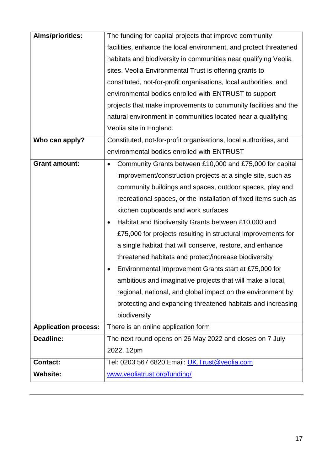| <b>Aims/priorities:</b>     | The funding for capital projects that improve community               |  |
|-----------------------------|-----------------------------------------------------------------------|--|
|                             | facilities, enhance the local environment, and protect threatened     |  |
|                             | habitats and biodiversity in communities near qualifying Veolia       |  |
|                             | sites. Veolia Environmental Trust is offering grants to               |  |
|                             | constituted, not-for-profit organisations, local authorities, and     |  |
|                             | environmental bodies enrolled with ENTRUST to support                 |  |
|                             | projects that make improvements to community facilities and the       |  |
|                             | natural environment in communities located near a qualifying          |  |
|                             | Veolia site in England.                                               |  |
| Who can apply?              | Constituted, not-for-profit organisations, local authorities, and     |  |
|                             | environmental bodies enrolled with ENTRUST                            |  |
| <b>Grant amount:</b>        | Community Grants between £10,000 and £75,000 for capital<br>$\bullet$ |  |
|                             | improvement/construction projects at a single site, such as           |  |
|                             | community buildings and spaces, outdoor spaces, play and              |  |
|                             | recreational spaces, or the installation of fixed items such as       |  |
|                             | kitchen cupboards and work surfaces                                   |  |
|                             | Habitat and Biodiversity Grants between £10,000 and                   |  |
|                             | £75,000 for projects resulting in structural improvements for         |  |
|                             | a single habitat that will conserve, restore, and enhance             |  |
|                             | threatened habitats and protect/increase biodiversity                 |  |
|                             | Environmental Improvement Grants start at £75,000 for                 |  |
|                             | ambitious and imaginative projects that will make a local,            |  |
|                             | regional, national, and global impact on the environment by           |  |
|                             | protecting and expanding threatened habitats and increasing           |  |
|                             | biodiversity                                                          |  |
| <b>Application process:</b> | There is an online application form                                   |  |
| Deadline:                   | The next round opens on 26 May 2022 and closes on 7 July              |  |
|                             | 2022, 12pm                                                            |  |
| <b>Contact:</b>             | Tel: 0203 567 6820 Email: UK. Trust@veolia.com                        |  |
| <b>Website:</b>             | www.veoliatrust.org/funding/                                          |  |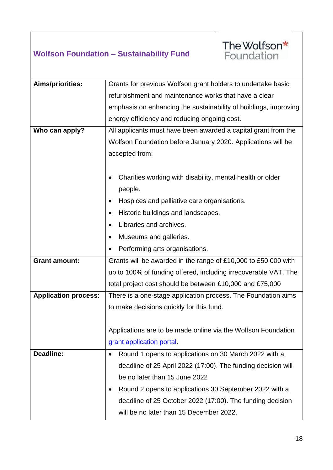#### **Wolfson Foundation – Sustainability Fund**



| Aims/priorities:            | Grants for previous Wolfson grant holders to undertake basic     |  |
|-----------------------------|------------------------------------------------------------------|--|
|                             | refurbishment and maintenance works that have a clear            |  |
|                             | emphasis on enhancing the sustainability of buildings, improving |  |
|                             | energy efficiency and reducing ongoing cost.                     |  |
| Who can apply?              | All applicants must have been awarded a capital grant from the   |  |
|                             | Wolfson Foundation before January 2020. Applications will be     |  |
|                             | accepted from:                                                   |  |
|                             |                                                                  |  |
|                             | Charities working with disability, mental health or older        |  |
|                             | people.                                                          |  |
|                             | Hospices and palliative care organisations.                      |  |
|                             | Historic buildings and landscapes.                               |  |
|                             | Libraries and archives.                                          |  |
|                             | Museums and galleries.                                           |  |
|                             | Performing arts organisations.                                   |  |
| <b>Grant amount:</b>        | Grants will be awarded in the range of £10,000 to £50,000 with   |  |
|                             | up to 100% of funding offered, including irrecoverable VAT. The  |  |
|                             | total project cost should be between £10,000 and £75,000         |  |
| <b>Application process:</b> | There is a one-stage application process. The Foundation aims    |  |
|                             | to make decisions quickly for this fund.                         |  |
|                             |                                                                  |  |
|                             | Applications are to be made online via the Wolfson Foundation    |  |
|                             | grant application portal.                                        |  |
| <b>Deadline:</b>            | Round 1 opens to applications on 30 March 2022 with a            |  |
|                             | deadline of 25 April 2022 (17:00). The funding decision will     |  |
|                             | be no later than 15 June 2022                                    |  |
|                             | Round 2 opens to applications 30 September 2022 with a           |  |
|                             | deadline of 25 October 2022 (17:00). The funding decision        |  |
|                             | will be no later than 15 December 2022.                          |  |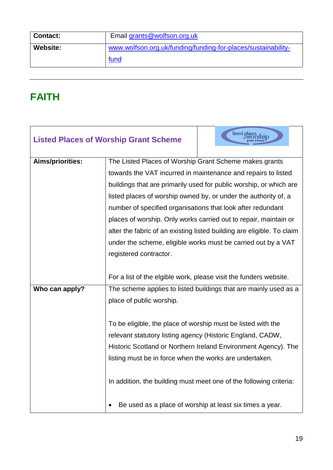| <b>Contact:</b> | Email grants@wolfson.org.uk                                   |
|-----------------|---------------------------------------------------------------|
| Website:        | www.wolfson.org.uk/funding/funding-for-places/sustainability- |
|                 | fund                                                          |

### <span id="page-18-0"></span>**FAITH**

|                         | <b>Listed Places of Worship Grant Scheme</b>                       | listed places                                                          |  |
|-------------------------|--------------------------------------------------------------------|------------------------------------------------------------------------|--|
| <b>Aims/priorities:</b> | The Listed Places of Worship Grant Scheme makes grants             |                                                                        |  |
|                         | towards the VAT incurred in maintenance and repairs to listed      |                                                                        |  |
|                         | buildings that are primarily used for public worship, or which are |                                                                        |  |
|                         | listed places of worship owned by, or under the authority of, a    |                                                                        |  |
|                         |                                                                    | number of specified organisations that look after redundant            |  |
|                         |                                                                    | places of worship. Only works carried out to repair, maintain or       |  |
|                         |                                                                    | alter the fabric of an existing listed building are eligible. To claim |  |
|                         | under the scheme, eligible works must be carried out by a VAT      |                                                                        |  |
|                         | registered contractor.                                             |                                                                        |  |
|                         |                                                                    |                                                                        |  |
|                         | For a list of the elgible work, please visit the funders website.  |                                                                        |  |
| Who can apply?          | The scheme applies to listed buildings that are mainly used as a   |                                                                        |  |
|                         | place of public worship.                                           |                                                                        |  |
|                         |                                                                    |                                                                        |  |
|                         | To be eligible, the place of worship must be listed with the       |                                                                        |  |
|                         | relevant statutory listing agency (Historic England, CADW,         |                                                                        |  |
|                         | Historic Scotland or Northern Ireland Environment Agency). The     |                                                                        |  |
|                         | listing must be in force when the works are undertaken.            |                                                                        |  |
|                         |                                                                    |                                                                        |  |
|                         | In addition, the building must meet one of the following criteria: |                                                                        |  |
|                         |                                                                    |                                                                        |  |
|                         | Be used as a place of worship at least six times a year.           |                                                                        |  |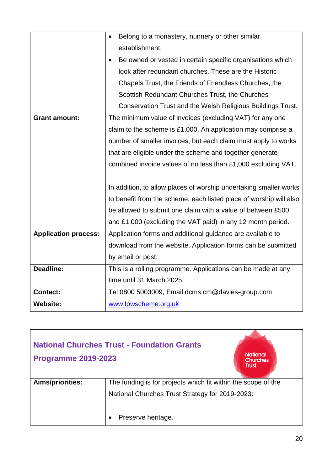|                             | Belong to a monastery, nunnery or other similar                    |  |
|-----------------------------|--------------------------------------------------------------------|--|
|                             | establishment.                                                     |  |
|                             | Be owned or vested in certain specific organisations which         |  |
|                             | look after redundant churches. These are the Historic              |  |
|                             | Chapels Trust, the Friends of Friendless Churches, the             |  |
|                             | Scottish Redundant Churches Trust, the Churches                    |  |
|                             | Conservation Trust and the Welsh Religious Buildings Trust.        |  |
| <b>Grant amount:</b>        | The minimum value of invoices (excluding VAT) for any one          |  |
|                             | claim to the scheme is £1,000. An application may comprise a       |  |
|                             | number of smaller invoices, but each claim must apply to works     |  |
|                             | that are eligible under the scheme and together generate           |  |
|                             | combined invoice values of no less than £1,000 excluding VAT.      |  |
|                             |                                                                    |  |
|                             | In addition, to allow places of worship undertaking smaller works  |  |
|                             | to benefit from the scheme, each listed place of worship will also |  |
|                             | be allowed to submit one claim with a value of between £500        |  |
|                             | and £1,000 (excluding the VAT paid) in any 12 month period.        |  |
| <b>Application process:</b> | Application forms and additional guidance are available to         |  |
|                             | download from the website. Application forms can be submitted      |  |
|                             | by email or post.                                                  |  |
| <b>Deadline:</b>            | This is a rolling programme. Applications can be made at any       |  |
|                             | time until 31 March 2025.                                          |  |
| <b>Contact:</b>             | Tel 0800 5003009, Email dcms.cm@davies-group.com                   |  |
| <b>Website:</b>             | www.lpwscheme.org.uk                                               |  |

| <b>National Churches Trust - Foundation Grants</b><br><b>Programme 2019-2023</b> |                                                               | <b>National</b><br><b>Churches</b><br><b>Trust</b> |
|----------------------------------------------------------------------------------|---------------------------------------------------------------|----------------------------------------------------|
| <b>Aims/priorities:</b>                                                          | The funding is for projects which fit within the scope of the |                                                    |
|                                                                                  | National Churches Trust Strategy for 2019-2023:               |                                                    |
|                                                                                  | Preserve heritage.                                            |                                                    |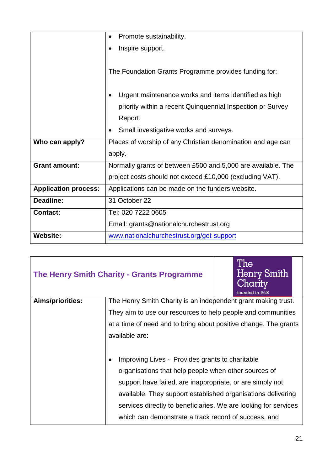|                             | Promote sustainability.<br>$\bullet$                         |  |
|-----------------------------|--------------------------------------------------------------|--|
|                             | Inspire support.                                             |  |
|                             | The Foundation Grants Programme provides funding for:        |  |
|                             |                                                              |  |
|                             | Urgent maintenance works and items identified as high        |  |
|                             | priority within a recent Quinquennial Inspection or Survey   |  |
|                             | Report.                                                      |  |
|                             | Small investigative works and surveys.                       |  |
| Who can apply?              | Places of worship of any Christian denomination and age can  |  |
|                             | apply.                                                       |  |
| <b>Grant amount:</b>        | Normally grants of between £500 and 5,000 are available. The |  |
|                             | project costs should not exceed £10,000 (excluding VAT).     |  |
| <b>Application process:</b> | Applications can be made on the funders website.             |  |
| <b>Deadline:</b>            | 31 October 22                                                |  |
| <b>Contact:</b>             | Tel: 020 7222 0605                                           |  |
|                             | Email: grants@nationalchurchestrust.org                      |  |
| <b>Website:</b>             | www.nationalchurchestrust.org/get-support                    |  |

|                                                                  | The Henry Smith Charity - Grants Programme                                                                                                                                        | The<br>Henry Smith<br>Charity<br>founded in 1628 |
|------------------------------------------------------------------|-----------------------------------------------------------------------------------------------------------------------------------------------------------------------------------|--------------------------------------------------|
| Aims/priorities:                                                 | The Henry Smith Charity is an independent grant making trust.                                                                                                                     |                                                  |
|                                                                  | They aim to use our resources to help people and communities                                                                                                                      |                                                  |
| at a time of need and to bring about positive change. The grants |                                                                                                                                                                                   |                                                  |
|                                                                  | available are:                                                                                                                                                                    |                                                  |
|                                                                  |                                                                                                                                                                                   |                                                  |
|                                                                  | Improving Lives - Provides grants to charitable<br>$\bullet$<br>organisations that help people when other sources of<br>support have failed, are inappropriate, or are simply not |                                                  |
|                                                                  |                                                                                                                                                                                   |                                                  |
|                                                                  |                                                                                                                                                                                   |                                                  |
|                                                                  | available. They support established organisations delivering                                                                                                                      |                                                  |
|                                                                  | services directly to beneficiaries. We are looking for services                                                                                                                   |                                                  |
|                                                                  | which can demonstrate a track record of success, and                                                                                                                              |                                                  |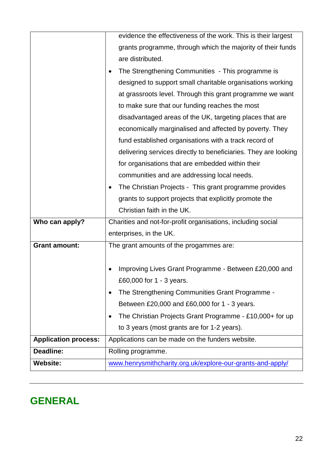|                             | evidence the effectiveness of the work. This is their largest   |  |
|-----------------------------|-----------------------------------------------------------------|--|
|                             | grants programme, through which the majority of their funds     |  |
|                             | are distributed.                                                |  |
|                             | The Strengthening Communities - This programme is               |  |
|                             | designed to support small charitable organisations working      |  |
|                             | at grassroots level. Through this grant programme we want       |  |
|                             | to make sure that our funding reaches the most                  |  |
|                             | disadvantaged areas of the UK, targeting places that are        |  |
|                             | economically marginalised and affected by poverty. They         |  |
|                             | fund established organisations with a track record of           |  |
|                             | delivering services directly to beneficiaries. They are looking |  |
|                             | for organisations that are embedded within their                |  |
|                             | communities and are addressing local needs.                     |  |
|                             | The Christian Projects - This grant programme provides          |  |
|                             | grants to support projects that explicitly promote the          |  |
|                             | Christian faith in the UK.                                      |  |
| Who can apply?              | Charities and not-for-profit organisations, including social    |  |
|                             | enterprises, in the UK.                                         |  |
| <b>Grant amount:</b>        | The grant amounts of the progammes are:                         |  |
|                             |                                                                 |  |
|                             | Improving Lives Grant Programme - Between £20,000 and           |  |
|                             | £60,000 for 1 - 3 years.                                        |  |
|                             | The Strengthening Communities Grant Programme -                 |  |
|                             | Between £20,000 and £60,000 for 1 - 3 years.                    |  |
|                             | The Christian Projects Grant Programme - £10,000+ for up        |  |
|                             | to 3 years (most grants are for 1-2 years).                     |  |
| <b>Application process:</b> | Applications can be made on the funders website.                |  |
| Deadline:                   | Rolling programme.                                              |  |
| <b>Website:</b>             | www.henrysmithcharity.org.uk/explore-our-grants-and-apply/      |  |

### <span id="page-21-0"></span>**GENERAL**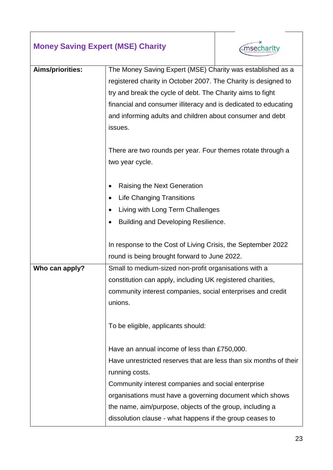| <b>Money Saving Expert (MSE) Charity</b> |                                                                                                                                         | msecharity |  |  |
|------------------------------------------|-----------------------------------------------------------------------------------------------------------------------------------------|------------|--|--|
| Aims/priorities:                         | The Money Saving Expert (MSE) Charity was established as a                                                                              |            |  |  |
|                                          | registered charity in October 2007. The Charity is designed to                                                                          |            |  |  |
|                                          | try and break the cycle of debt. The Charity aims to fight                                                                              |            |  |  |
|                                          | financial and consumer illiteracy and is dedicated to educating<br>and informing adults and children about consumer and debt<br>issues. |            |  |  |
|                                          |                                                                                                                                         |            |  |  |
|                                          |                                                                                                                                         |            |  |  |
|                                          |                                                                                                                                         |            |  |  |
|                                          | There are two rounds per year. Four themes rotate through a<br>two year cycle.                                                          |            |  |  |
|                                          |                                                                                                                                         |            |  |  |
|                                          | Raising the Next Generation                                                                                                             |            |  |  |
|                                          | <b>Life Changing Transitions</b>                                                                                                        |            |  |  |
| Living with Long Term Challenges         |                                                                                                                                         |            |  |  |
|                                          | Building and Developing Resilience.                                                                                                     |            |  |  |
|                                          |                                                                                                                                         |            |  |  |
|                                          | In response to the Cost of Living Crisis, the September 2022                                                                            |            |  |  |
|                                          | round is being brought forward to June 2022.                                                                                            |            |  |  |
| Who can apply?                           | Small to medium-sized non-profit organisations with a                                                                                   |            |  |  |
|                                          | constitution can apply, including UK registered charities,                                                                              |            |  |  |
|                                          | community interest companies, social enterprises and credit                                                                             |            |  |  |
|                                          | unions.                                                                                                                                 |            |  |  |
|                                          | To be eligible, applicants should:                                                                                                      |            |  |  |
|                                          | Have an annual income of less than £750,000.                                                                                            |            |  |  |
|                                          | Have unrestricted reserves that are less than six months of their                                                                       |            |  |  |
|                                          | running costs.                                                                                                                          |            |  |  |
|                                          | Community interest companies and social enterprise                                                                                      |            |  |  |
|                                          | organisations must have a governing document which shows                                                                                |            |  |  |
|                                          | the name, aim/purpose, objects of the group, including a                                                                                |            |  |  |
|                                          | dissolution clause - what happens if the group ceases to                                                                                |            |  |  |

 $\overline{\phantom{a}}$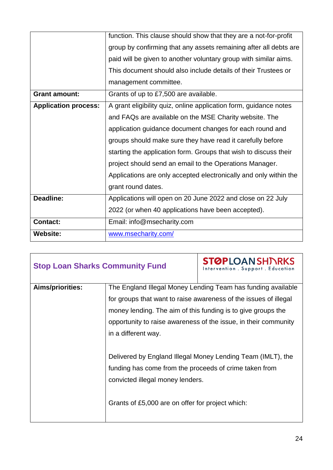|                             | function. This clause should show that they are a not-for-profit  |  |  |
|-----------------------------|-------------------------------------------------------------------|--|--|
|                             | group by confirming that any assets remaining after all debts are |  |  |
|                             | paid will be given to another voluntary group with similar aims.  |  |  |
|                             | This document should also include details of their Trustees or    |  |  |
|                             | management committee.                                             |  |  |
| <b>Grant amount:</b>        | Grants of up to £7,500 are available.                             |  |  |
| <b>Application process:</b> | A grant eligibility quiz, online application form, guidance notes |  |  |
|                             | and FAQs are available on the MSE Charity website. The            |  |  |
|                             | application guidance document changes for each round and          |  |  |
|                             | groups should make sure they have read it carefully before        |  |  |
|                             | starting the application form. Groups that wish to discuss their  |  |  |
|                             | project should send an email to the Operations Manager.           |  |  |
|                             | Applications are only accepted electronically and only within the |  |  |
|                             | grant round dates.                                                |  |  |
| Deadline:                   | Applications will open on 20 June 2022 and close on 22 July       |  |  |
|                             | 2022 (or when 40 applications have been accepted).                |  |  |
| <b>Contact:</b>             | Email: info@msecharity.com                                        |  |  |
| <b>Website:</b>             | www.msecharity.com/                                               |  |  |

| <b>Stop Loan Sharks Community Fund</b> |                                                                 | <b>STØPLOANSHJARKS</b><br>Intervention, Support, Education       |  |
|----------------------------------------|-----------------------------------------------------------------|------------------------------------------------------------------|--|
| Aims/priorities:                       |                                                                 | The England Illegal Money Lending Team has funding available     |  |
|                                        |                                                                 | for groups that want to raise awareness of the issues of illegal |  |
|                                        |                                                                 | money lending. The aim of this funding is to give groups the     |  |
|                                        | opportunity to raise awareness of the issue, in their community |                                                                  |  |
|                                        | in a different way.                                             |                                                                  |  |
|                                        |                                                                 |                                                                  |  |
|                                        | Delivered by England Illegal Money Lending Team (IMLT), the     |                                                                  |  |
|                                        | funding has come from the proceeds of crime taken from          |                                                                  |  |
|                                        | convicted illegal money lenders.                                |                                                                  |  |
|                                        | Grants of £5,000 are on offer for project which:                |                                                                  |  |

<u> 1989 - Johann Stoff, deutscher Stoffen und der Stoffen und der Stoffen und der Stoffen und der Stoffen und der</u>

٦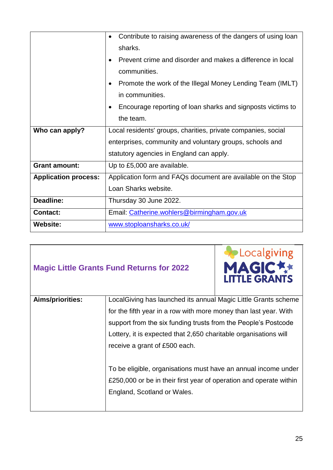|                             | Contribute to raising awareness of the dangers of using loan<br>$\bullet$ |  |  |
|-----------------------------|---------------------------------------------------------------------------|--|--|
|                             | sharks.                                                                   |  |  |
|                             | Prevent crime and disorder and makes a difference in local<br>$\bullet$   |  |  |
|                             | communities.                                                              |  |  |
|                             | Promote the work of the Illegal Money Lending Team (IMLT)<br>$\bullet$    |  |  |
|                             | in communities.                                                           |  |  |
|                             | Encourage reporting of loan sharks and signposts victims to               |  |  |
|                             | the team.                                                                 |  |  |
| Who can apply?              | Local residents' groups, charities, private companies, social             |  |  |
|                             | enterprises, community and voluntary groups, schools and                  |  |  |
|                             | statutory agencies in England can apply.                                  |  |  |
| <b>Grant amount:</b>        | Up to £5,000 are available.                                               |  |  |
| <b>Application process:</b> | Application form and FAQs document are available on the Stop              |  |  |
|                             | Loan Sharks website.                                                      |  |  |
| Deadline:                   | Thursday 30 June 2022.                                                    |  |  |
| <b>Contact:</b>             | Email: Catherine.wohlers@birmingham.gov.uk                                |  |  |
| <b>Website:</b>             | www.stoploansharks.co.uk/                                                 |  |  |

#### **Magic Little Grants Fund Returns for 2022**



| Aims/priorities: | Local Giving has launched its annual Magic Little Grants scheme    |  |  |
|------------------|--------------------------------------------------------------------|--|--|
|                  | for the fifth year in a row with more money than last year. With   |  |  |
|                  | support from the six funding trusts from the People's Postcode     |  |  |
|                  | Lottery, it is expected that 2,650 charitable organisations will   |  |  |
|                  | receive a grant of £500 each.                                      |  |  |
|                  |                                                                    |  |  |
|                  | To be eligible, organisations must have an annual income under     |  |  |
|                  | £250,000 or be in their first year of operation and operate within |  |  |
|                  | England, Scotland or Wales.                                        |  |  |
|                  |                                                                    |  |  |
|                  |                                                                    |  |  |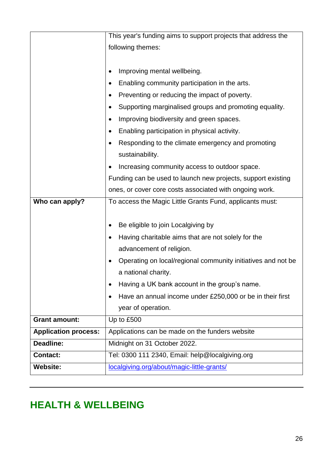|                             | This year's funding aims to support projects that address the |  |  |
|-----------------------------|---------------------------------------------------------------|--|--|
|                             | following themes:                                             |  |  |
|                             |                                                               |  |  |
|                             | Improving mental wellbeing.                                   |  |  |
|                             | Enabling community participation in the arts.                 |  |  |
|                             | Preventing or reducing the impact of poverty.                 |  |  |
|                             | Supporting marginalised groups and promoting equality.        |  |  |
|                             | Improving biodiversity and green spaces.                      |  |  |
|                             | Enabling participation in physical activity.                  |  |  |
|                             | Responding to the climate emergency and promoting             |  |  |
|                             | sustainability.                                               |  |  |
|                             | Increasing community access to outdoor space.                 |  |  |
|                             | Funding can be used to launch new projects, support existing  |  |  |
|                             | ones, or cover core costs associated with ongoing work.       |  |  |
| Who can apply?              | To access the Magic Little Grants Fund, applicants must:      |  |  |
|                             |                                                               |  |  |
|                             | Be eligible to join Localgiving by                            |  |  |
|                             | Having charitable aims that are not solely for the            |  |  |
|                             | advancement of religion.                                      |  |  |
|                             | Operating on local/regional community initiatives and not be  |  |  |
|                             | a national charity.                                           |  |  |
|                             | Having a UK bank account in the group's name.                 |  |  |
|                             | Have an annual income under £250,000 or be in their first     |  |  |
|                             | year of operation.                                            |  |  |
| <b>Grant amount:</b>        | Up to £500                                                    |  |  |
| <b>Application process:</b> | Applications can be made on the funders website               |  |  |
| Deadline:                   | Midnight on 31 October 2022.                                  |  |  |
| <b>Contact:</b>             | Tel: 0300 111 2340, Email: help@localgiving.org               |  |  |
| <b>Website:</b>             | localgiving.org/about/magic-little-grants/                    |  |  |

### <span id="page-25-0"></span>**HEALTH & WELLBEING**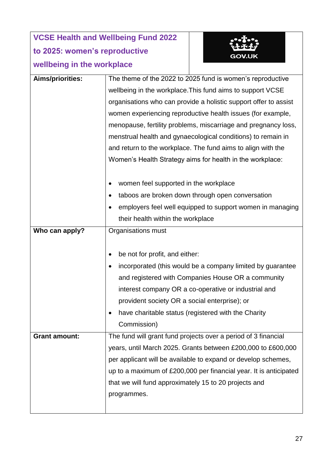### **VCSE Health and Wellbeing Fund 2022 to 2025: women's reproductive wellbeing in the workplace**



| wellbeing in the workplace |                                                                   |  |
|----------------------------|-------------------------------------------------------------------|--|
| Aims/priorities:           | The theme of the 2022 to 2025 fund is women's reproductive        |  |
|                            | wellbeing in the workplace. This fund aims to support VCSE        |  |
|                            | organisations who can provide a holistic support offer to assist  |  |
|                            | women experiencing reproductive health issues (for example,       |  |
|                            | menopause, fertility problems, miscarriage and pregnancy loss,    |  |
|                            | menstrual health and gynaecological conditions) to remain in      |  |
|                            | and return to the workplace. The fund aims to align with the      |  |
|                            | Women's Health Strategy aims for health in the workplace:         |  |
|                            |                                                                   |  |
|                            | women feel supported in the workplace                             |  |
|                            | taboos are broken down through open conversation                  |  |
|                            | employers feel well equipped to support women in managing<br>٠    |  |
|                            | their health within the workplace                                 |  |
| Who can apply?             | Organisations must                                                |  |
|                            |                                                                   |  |
|                            | be not for profit, and either:<br>$\bullet$                       |  |
|                            | incorporated (this would be a company limited by guarantee        |  |
|                            | and registered with Companies House OR a community                |  |
|                            | interest company OR a co-operative or industrial and              |  |
|                            | provident society OR a social enterprise); or                     |  |
|                            | have charitable status (registered with the Charity               |  |
|                            | Commission)                                                       |  |
| <b>Grant amount:</b>       | The fund will grant fund projects over a period of 3 financial    |  |
|                            | years, until March 2025. Grants between £200,000 to £600,000      |  |
|                            | per applicant will be available to expand or develop schemes,     |  |
|                            | up to a maximum of £200,000 per financial year. It is anticipated |  |
|                            | that we will fund approximately 15 to 20 projects and             |  |
|                            | programmes.                                                       |  |
|                            |                                                                   |  |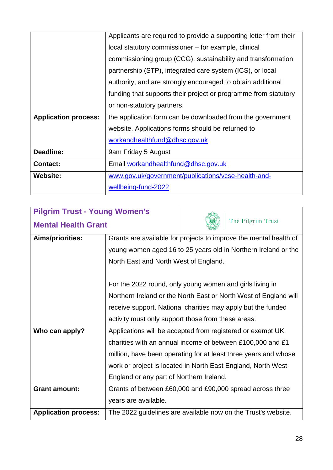|                             | Applicants are required to provide a supporting letter from their |  |
|-----------------------------|-------------------------------------------------------------------|--|
|                             | local statutory commissioner – for example, clinical              |  |
|                             | commissioning group (CCG), sustainability and transformation      |  |
|                             | partnership (STP), integrated care system (ICS), or local         |  |
|                             | authority, and are strongly encouraged to obtain additional       |  |
|                             | funding that supports their project or programme from statutory   |  |
|                             | or non-statutory partners.                                        |  |
| <b>Application process:</b> | the application form can be downloaded from the government        |  |
|                             | website. Applications forms should be returned to                 |  |
|                             | workandhealthfund@dhsc.gov.uk                                     |  |
| <b>Deadline:</b>            | 9am Friday 5 August                                               |  |
| <b>Contact:</b>             | Email workandhealthfund@dhsc.gov.uk                               |  |
| <b>Website:</b>             | www.gov.uk/government/publications/vcse-health-and-               |  |
|                             | wellbeing-fund-2022                                               |  |
|                             |                                                                   |  |

| <b>Pilgrim Trust - Young Women's</b> |                                                                   |                   |  |
|--------------------------------------|-------------------------------------------------------------------|-------------------|--|
| <b>Mental Health Grant</b>           |                                                                   | The Pilgrim Trust |  |
| <b>Aims/priorities:</b>              | Grants are available for projects to improve the mental health of |                   |  |
|                                      | young women aged 16 to 25 years old in Northern Ireland or the    |                   |  |
|                                      | North East and North West of England.                             |                   |  |
|                                      |                                                                   |                   |  |
|                                      | For the 2022 round, only young women and girls living in          |                   |  |
|                                      | Northern Ireland or the North East or North West of England will  |                   |  |
|                                      | receive support. National charities may apply but the funded      |                   |  |
|                                      | activity must only support those from these areas.                |                   |  |
| Who can apply?                       | Applications will be accepted from registered or exempt UK        |                   |  |
|                                      | charities with an annual income of between £100,000 and £1        |                   |  |
|                                      | million, have been operating for at least three years and whose   |                   |  |
|                                      | work or project is located in North East England, North West      |                   |  |
|                                      | England or any part of Northern Ireland.                          |                   |  |
| <b>Grant amount:</b>                 | Grants of between £60,000 and £90,000 spread across three         |                   |  |
|                                      | years are available.                                              |                   |  |
| <b>Application process:</b>          | The 2022 guidelines are available now on the Trust's website.     |                   |  |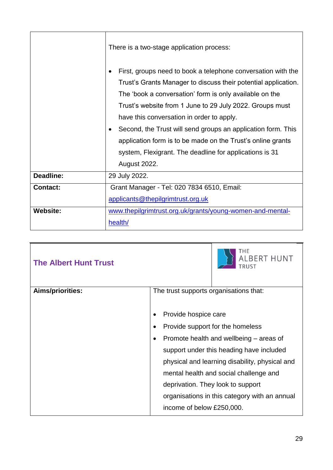|                  | There is a two-stage application process:                                                                                                                                                                                                                                                                                                                                                                                                                                                                           |  |
|------------------|---------------------------------------------------------------------------------------------------------------------------------------------------------------------------------------------------------------------------------------------------------------------------------------------------------------------------------------------------------------------------------------------------------------------------------------------------------------------------------------------------------------------|--|
|                  | First, groups need to book a telephone conversation with the<br>Trust's Grants Manager to discuss their potential application.<br>The 'book a conversation' form is only available on the<br>Trust's website from 1 June to 29 July 2022. Groups must<br>have this conversation in order to apply.<br>Second, the Trust will send groups an application form. This<br>application form is to be made on the Trust's online grants<br>system, Flexigrant. The deadline for applications is 31<br><b>August 2022.</b> |  |
| <b>Deadline:</b> | 29 July 2022.                                                                                                                                                                                                                                                                                                                                                                                                                                                                                                       |  |
| <b>Contact:</b>  | Grant Manager - Tel: 020 7834 6510, Email:                                                                                                                                                                                                                                                                                                                                                                                                                                                                          |  |
|                  | applicants@thepilgrimtrust.org.uk                                                                                                                                                                                                                                                                                                                                                                                                                                                                                   |  |
| <b>Website:</b>  | www.thepilgrimtrust.org.uk/grants/young-women-and-mental-<br>health/                                                                                                                                                                                                                                                                                                                                                                                                                                                |  |

|                                                | <b>ALBERT HUNT</b>                            |
|------------------------------------------------|-----------------------------------------------|
| The trust supports organisations that:         |                                               |
|                                                |                                               |
| Provide hospice care                           |                                               |
| Provide support for the homeless               |                                               |
| Promote health and wellbeing – areas of        |                                               |
| support under this heading have included       |                                               |
| physical and learning disability, physical and |                                               |
|                                                | mental health and social challenge and        |
| deprivation. They look to support              |                                               |
|                                                | organisations in this category with an annual |
| income of below £250,000.                      |                                               |
|                                                |                                               |

٦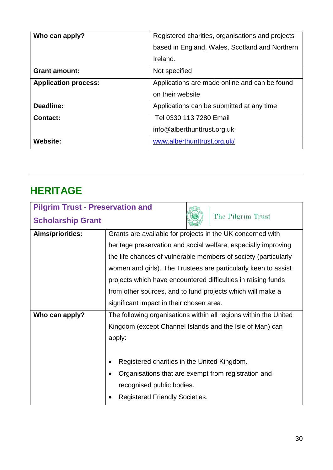| Who can apply?              | Registered charities, organisations and projects |  |
|-----------------------------|--------------------------------------------------|--|
|                             | based in England, Wales, Scotland and Northern   |  |
|                             | Ireland.                                         |  |
| <b>Grant amount:</b>        | Not specified                                    |  |
| <b>Application process:</b> | Applications are made online and can be found    |  |
|                             | on their website                                 |  |
| Deadline:                   | Applications can be submitted at any time        |  |
| <b>Contact:</b>             | Tel 0330 113 7280 Email                          |  |
|                             | info@alberthunttrust.org.uk                      |  |
| <b>Website:</b>             | www.alberthunttrust.org.uk/                      |  |

### <span id="page-29-0"></span>**HERITAGE**

| <b>Pilgrim Trust - Preservation and</b> |                                                                  |  |
|-----------------------------------------|------------------------------------------------------------------|--|
| <b>Scholarship Grant</b>                | The Pilgrim Trust                                                |  |
| Aims/priorities:                        | Grants are available for projects in the UK concerned with       |  |
|                                         | heritage preservation and social welfare, especially improving   |  |
|                                         | the life chances of vulnerable members of society (particularly  |  |
|                                         | women and girls). The Trustees are particularly keen to assist   |  |
|                                         | projects which have encountered difficulties in raising funds    |  |
|                                         | from other sources, and to fund projects which will make a       |  |
|                                         | significant impact in their chosen area.                         |  |
| Who can apply?                          | The following organisations within all regions within the United |  |
|                                         | Kingdom (except Channel Islands and the Isle of Man) can         |  |
|                                         | apply:                                                           |  |
|                                         |                                                                  |  |
|                                         | Registered charities in the United Kingdom.                      |  |
|                                         | Organisations that are exempt from registration and              |  |
|                                         | recognised public bodies.                                        |  |
|                                         | <b>Registered Friendly Societies.</b>                            |  |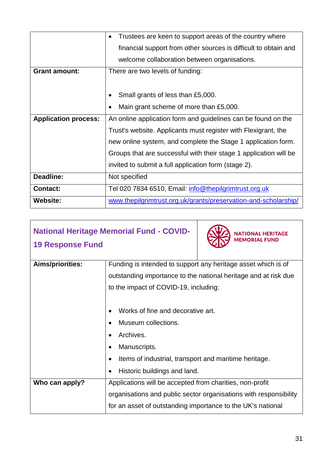|                             | Trustees are keen to support areas of the country where           |  |
|-----------------------------|-------------------------------------------------------------------|--|
|                             | financial support from other sources is difficult to obtain and   |  |
|                             | welcome collaboration between organisations.                      |  |
| <b>Grant amount:</b>        | There are two levels of funding:                                  |  |
|                             |                                                                   |  |
|                             | Small grants of less than £5,000.                                 |  |
|                             | Main grant scheme of more than £5,000.                            |  |
| <b>Application process:</b> | An online application form and guidelines can be found on the     |  |
|                             | Trust's website. Applicants must register with Flexigrant, the    |  |
|                             | new online system, and complete the Stage 1 application form.     |  |
|                             | Groups that are successful with their stage 1 application will be |  |
|                             | invited to submit a full application form (stage 2).              |  |
| <b>Deadline:</b>            | Not specified                                                     |  |
| <b>Contact:</b>             | Tel 020 7834 6510, Email: info@thepilgrimtrust.org.uk             |  |
| <b>Website:</b>             | www.thepilgrimtrust.org.uk/grants/preservation-and-scholarship/   |  |

| <b>National Heritage Memorial Fund - COVID-</b>               | <b>NATIONAL HERITAGE</b><br><b>MEMORIAL FUND</b>                  |  |
|---------------------------------------------------------------|-------------------------------------------------------------------|--|
| Funding is intended to support any heritage asset which is of |                                                                   |  |
|                                                               | outstanding importance to the national heritage and at risk due   |  |
| to the impact of COVID-19, including:                         |                                                                   |  |
|                                                               |                                                                   |  |
| Works of fine and decorative art.                             |                                                                   |  |
| Museum collections.                                           |                                                                   |  |
| Archives.                                                     |                                                                   |  |
| Manuscripts.                                                  |                                                                   |  |
| Items of industrial, transport and maritime heritage.         |                                                                   |  |
| Historic buildings and land.                                  |                                                                   |  |
| Applications will be accepted from charities, non-profit      |                                                                   |  |
|                                                               | organisations and public sector organisations with responsibility |  |
| for an asset of outstanding importance to the UK's national   |                                                                   |  |
|                                                               |                                                                   |  |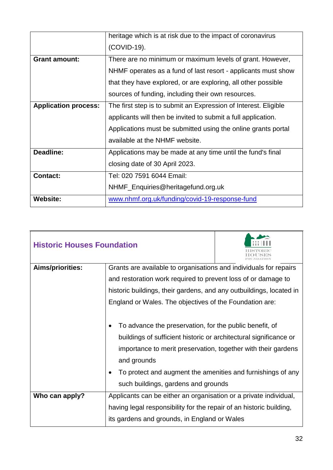|                             | heritage which is at risk due to the impact of coronavirus      |  |
|-----------------------------|-----------------------------------------------------------------|--|
|                             | (COVID-19).                                                     |  |
| <b>Grant amount:</b>        | There are no minimum or maximum levels of grant. However,       |  |
|                             | NHMF operates as a fund of last resort - applicants must show   |  |
|                             | that they have explored, or are exploring, all other possible   |  |
|                             | sources of funding, including their own resources.              |  |
| <b>Application process:</b> | The first step is to submit an Expression of Interest. Eligible |  |
|                             | applicants will then be invited to submit a full application.   |  |
|                             | Applications must be submitted using the online grants portal   |  |
|                             | available at the NHMF website.                                  |  |
| <b>Deadline:</b>            | Applications may be made at any time until the fund's final     |  |
|                             | closing date of 30 April 2023.                                  |  |
| <b>Contact:</b>             | Tel: 020 7591 6044 Email:                                       |  |
|                             | NHMF_Enquiries@heritagefund.org.uk                              |  |
| <b>Website:</b>             | www.nhmf.org.uk/funding/covid-19-response-fund                  |  |

| <b>Historic Houses Foundation</b> |                                                                                                                                                                                                                                                                                                                    |  |  |
|-----------------------------------|--------------------------------------------------------------------------------------------------------------------------------------------------------------------------------------------------------------------------------------------------------------------------------------------------------------------|--|--|
| Aims/priorities:                  | Grants are available to organisations and individuals for repairs                                                                                                                                                                                                                                                  |  |  |
|                                   | and restoration work required to prevent loss of or damage to                                                                                                                                                                                                                                                      |  |  |
|                                   | historic buildings, their gardens, and any outbuildings, located in                                                                                                                                                                                                                                                |  |  |
|                                   | England or Wales. The objectives of the Foundation are:                                                                                                                                                                                                                                                            |  |  |
|                                   | To advance the preservation, for the public benefit, of<br>buildings of sufficient historic or architectural significance or<br>importance to merit preservation, together with their gardens<br>and grounds<br>To protect and augment the amenities and furnishings of any<br>such buildings, gardens and grounds |  |  |
| Who can apply?                    | Applicants can be either an organisation or a private individual,<br>having legal responsibility for the repair of an historic building,                                                                                                                                                                           |  |  |
|                                   | its gardens and grounds, in England or Wales                                                                                                                                                                                                                                                                       |  |  |

T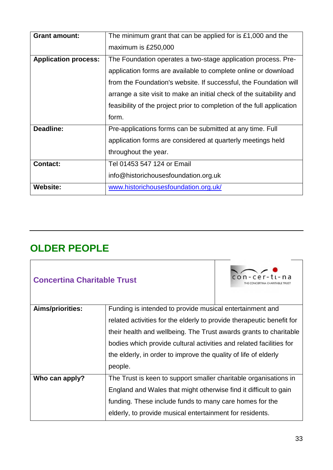| <b>Grant amount:</b>        | The minimum grant that can be applied for is $£1,000$ and the          |
|-----------------------------|------------------------------------------------------------------------|
|                             | maximum is £250,000                                                    |
| <b>Application process:</b> | The Foundation operates a two-stage application process. Pre-          |
|                             | application forms are available to complete online or download         |
|                             | from the Foundation's website. If successful, the Foundation will      |
|                             | arrange a site visit to make an initial check of the suitability and   |
|                             | feasibility of the project prior to completion of the full application |
|                             | form.                                                                  |
| <b>Deadline:</b>            | Pre-applications forms can be submitted at any time. Full              |
|                             | application forms are considered at quarterly meetings held            |
|                             | throughout the year.                                                   |
| <b>Contact:</b>             | Tel 01453 547 124 or Email                                             |
|                             |                                                                        |
|                             | info@historichousesfoundation.org.uk                                   |

### <span id="page-32-0"></span>**OLDER PEOPLE**

| <b>Concertina Charitable Trust</b> |                                                                       |  |
|------------------------------------|-----------------------------------------------------------------------|--|
| Aims/priorities:                   | Funding is intended to provide musical entertainment and              |  |
|                                    | related activities for the elderly to provide therapeutic benefit for |  |
|                                    | their health and wellbeing. The Trust awards grants to charitable     |  |
|                                    | bodies which provide cultural activities and related facilities for   |  |
|                                    | the elderly, in order to improve the quality of life of elderly       |  |
|                                    | people.                                                               |  |
| Who can apply?                     | The Trust is keen to support smaller charitable organisations in      |  |
|                                    | England and Wales that might otherwise find it difficult to gain      |  |
|                                    | funding. These include funds to many care homes for the               |  |
|                                    | elderly, to provide musical entertainment for residents.              |  |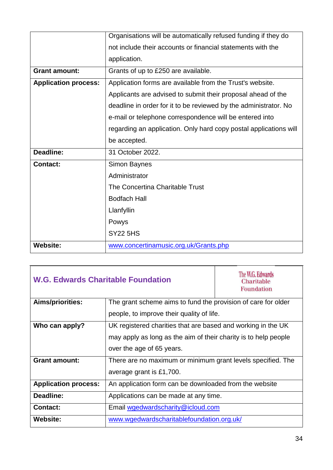|                             | Organisations will be automatically refused funding if they do    |  |
|-----------------------------|-------------------------------------------------------------------|--|
|                             | not include their accounts or financial statements with the       |  |
|                             | application.                                                      |  |
| <b>Grant amount:</b>        | Grants of up to £250 are available.                               |  |
| <b>Application process:</b> | Application forms are available from the Trust's website.         |  |
|                             | Applicants are advised to submit their proposal ahead of the      |  |
|                             | deadline in order for it to be reviewed by the administrator. No  |  |
|                             | e-mail or telephone correspondence will be entered into           |  |
|                             | regarding an application. Only hard copy postal applications will |  |
|                             | be accepted.                                                      |  |
| <b>Deadline:</b>            | 31 October 2022.                                                  |  |
| <b>Contact:</b>             | <b>Simon Baynes</b>                                               |  |
|                             | Administrator                                                     |  |
|                             | The Concertina Charitable Trust                                   |  |
|                             | <b>Bodfach Hall</b>                                               |  |
|                             | Llanfyllin                                                        |  |
|                             | Powys                                                             |  |
|                             | <b>SY22 5HS</b>                                                   |  |
| <b>Website:</b>             | www.concertinamusic.org.uk/Grants.php                             |  |

| <b>W.G. Edwards Charitable Foundation</b> |                                                                 | The W.G. Edwards<br>Charitable<br><b>Foundation</b> |
|-------------------------------------------|-----------------------------------------------------------------|-----------------------------------------------------|
| <b>Aims/priorities:</b>                   | The grant scheme aims to fund the provision of care for older   |                                                     |
|                                           | people, to improve their quality of life.                       |                                                     |
| Who can apply?                            | UK registered charities that are based and working in the UK    |                                                     |
|                                           | may apply as long as the aim of their charity is to help people |                                                     |
|                                           | over the age of 65 years.                                       |                                                     |
| <b>Grant amount:</b>                      | There are no maximum or minimum grant levels specified. The     |                                                     |
|                                           | average grant is £1,700.                                        |                                                     |
| <b>Application process:</b>               | An application form can be downloaded from the website          |                                                     |
| Deadline:                                 | Applications can be made at any time.                           |                                                     |
| <b>Contact:</b>                           | Email wgedwardscharity@icloud.com                               |                                                     |
| Website:                                  | www.wgedwardscharitablefoundation.org.uk/                       |                                                     |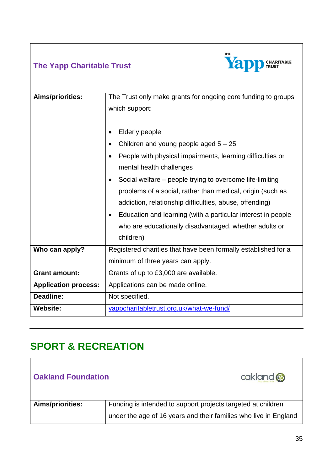| <b>The Yapp Charitable Trust</b> |                                                                                 | <b>THE</b><br>Yar |
|----------------------------------|---------------------------------------------------------------------------------|-------------------|
| <b>Aims/priorities:</b>          | The Trust only make grants for ongoing core funding to groups<br>which support: |                   |
|                                  | <b>Elderly people</b><br>$\bullet$                                              |                   |
|                                  | Children and young people aged $5 - 25$                                         |                   |
|                                  | People with physical impairments, learning difficulties or<br>$\bullet$         |                   |
|                                  | mental health challenges                                                        |                   |
|                                  | Social welfare – people trying to overcome life-limiting<br>$\bullet$           |                   |
|                                  | problems of a social, rather than medical, origin (such as                      |                   |
|                                  | addiction, relationship difficulties, abuse, offending)                         |                   |
|                                  | Education and learning (with a particular interest in people<br>$\bullet$       |                   |
|                                  | who are educationally disadvantaged, whether adults or                          |                   |
|                                  | children)                                                                       |                   |
| Who can apply?                   | Registered charities that have been formally established for a                  |                   |
|                                  | minimum of three years can apply.                                               |                   |
| <b>Grant amount:</b>             | Grants of up to £3,000 are available.                                           |                   |
| <b>Application process:</b>      | Applications can be made online.                                                |                   |
| Deadline:                        | Not specified.                                                                  |                   |
| <b>Website:</b>                  | yappcharitabletrust.org.uk/what-we-fund/                                        |                   |

## <span id="page-34-0"></span>**SPORT & RECREATION**

| <b>Oakland Foundation</b> |                                                                  | cakland & |
|---------------------------|------------------------------------------------------------------|-----------|
| Aims/priorities:          | Funding is intended to support projects targeted at children     |           |
|                           | under the age of 16 years and their families who live in England |           |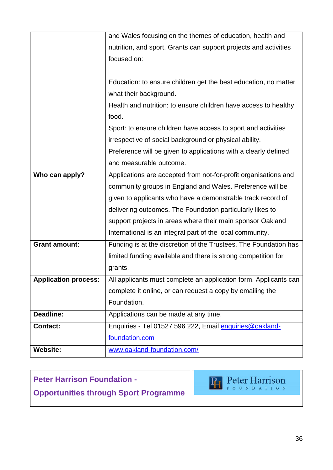|                             | and Wales focusing on the themes of education, health and        |
|-----------------------------|------------------------------------------------------------------|
|                             | nutrition, and sport. Grants can support projects and activities |
|                             | focused on:                                                      |
|                             |                                                                  |
|                             | Education: to ensure children get the best education, no matter  |
|                             | what their background.                                           |
|                             | Health and nutrition: to ensure children have access to healthy  |
|                             | food.                                                            |
|                             | Sport: to ensure children have access to sport and activities    |
|                             | irrespective of social background or physical ability.           |
|                             | Preference will be given to applications with a clearly defined  |
|                             | and measurable outcome.                                          |
| Who can apply?              | Applications are accepted from not-for-profit organisations and  |
|                             | community groups in England and Wales. Preference will be        |
|                             | given to applicants who have a demonstrable track record of      |
|                             | delivering outcomes. The Foundation particularly likes to        |
|                             | support projects in areas where their main sponsor Oakland       |
|                             | International is an integral part of the local community.        |
| <b>Grant amount:</b>        | Funding is at the discretion of the Trustees. The Foundation has |
|                             | limited funding available and there is strong competition for    |
|                             | grants.                                                          |
| <b>Application process:</b> | All applicants must complete an application form. Applicants can |
|                             | complete it online, or can request a copy by emailing the        |
|                             | Foundation.                                                      |
| <b>Deadline:</b>            | Applications can be made at any time.                            |
| <b>Contact:</b>             | Enquiries - Tel 01527 596 222, Email enquiries@oakland-          |
|                             | foundation.com                                                   |
| <b>Website:</b>             | www.oakland-foundation.com/                                      |

#### **Peter Harrison Foundation -** Pr Peter Harrison **Opportunities through Sport Programme**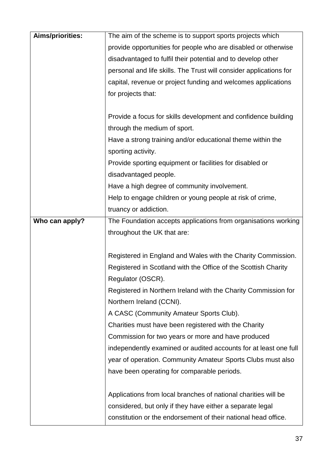| Aims/priorities: | The aim of the scheme is to support sports projects which          |
|------------------|--------------------------------------------------------------------|
|                  | provide opportunities for people who are disabled or otherwise     |
|                  | disadvantaged to fulfil their potential and to develop other       |
|                  | personal and life skills. The Trust will consider applications for |
|                  | capital, revenue or project funding and welcomes applications      |
|                  | for projects that:                                                 |
|                  |                                                                    |
|                  | Provide a focus for skills development and confidence building     |
|                  | through the medium of sport.                                       |
|                  | Have a strong training and/or educational theme within the         |
|                  | sporting activity.                                                 |
|                  | Provide sporting equipment or facilities for disabled or           |
|                  | disadvantaged people.                                              |
|                  | Have a high degree of community involvement.                       |
|                  | Help to engage children or young people at risk of crime,          |
|                  | truancy or addiction.                                              |
| Who can apply?   | The Foundation accepts applications from organisations working     |
|                  | throughout the UK that are:                                        |
|                  |                                                                    |
|                  | Registered in England and Wales with the Charity Commission.       |
|                  | Registered in Scotland with the Office of the Scottish Charity     |
|                  | Regulator (OSCR).                                                  |
|                  | Registered in Northern Ireland with the Charity Commission for     |
|                  | Northern Ireland (CCNI).                                           |
|                  | A CASC (Community Amateur Sports Club).                            |
|                  | Charities must have been registered with the Charity               |
|                  | Commission for two years or more and have produced                 |
|                  | independently examined or audited accounts for at least one full   |
|                  | year of operation. Community Amateur Sports Clubs must also        |
|                  | have been operating for comparable periods.                        |
|                  | Applications from local branches of national charities will be     |
|                  |                                                                    |
|                  | considered, but only if they have either a separate legal          |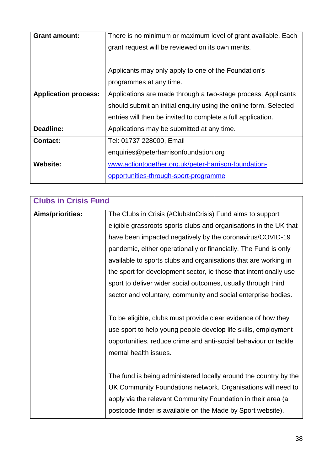| <b>Grant amount:</b>        | There is no minimum or maximum level of grant available. Each    |
|-----------------------------|------------------------------------------------------------------|
|                             | grant request will be reviewed on its own merits.                |
|                             |                                                                  |
|                             | Applicants may only apply to one of the Foundation's             |
|                             | programmes at any time.                                          |
| <b>Application process:</b> | Applications are made through a two-stage process. Applicants    |
|                             | should submit an initial enquiry using the online form. Selected |
|                             | entries will then be invited to complete a full application.     |
| <b>Deadline:</b>            | Applications may be submitted at any time.                       |
| <b>Contact:</b>             | Tel: 01737 228000, Email                                         |
|                             | enquiries@peterharrisonfoundation.org                            |
| <b>Website:</b>             | www.actiontogether.org.uk/peter-harrison-foundation-             |
|                             | opportunities-through-sport-programme                            |

| <b>Clubs in Crisis Fund</b> |                                                                   |  |
|-----------------------------|-------------------------------------------------------------------|--|
| Aims/priorities:            | The Clubs in Crisis (#ClubsInCrisis) Fund aims to support         |  |
|                             | eligible grassroots sports clubs and organisations in the UK that |  |
|                             | have been impacted negatively by the coronavirus/COVID-19         |  |
|                             | pandemic, either operationally or financially. The Fund is only   |  |
|                             | available to sports clubs and organisations that are working in   |  |
|                             | the sport for development sector, ie those that intentionally use |  |
|                             | sport to deliver wider social outcomes, usually through third     |  |
|                             | sector and voluntary, community and social enterprise bodies.     |  |
|                             |                                                                   |  |
|                             | To be eligible, clubs must provide clear evidence of how they     |  |
|                             | use sport to help young people develop life skills, employment    |  |
|                             | opportunities, reduce crime and anti-social behaviour or tackle   |  |
|                             | mental health issues.                                             |  |
|                             |                                                                   |  |
|                             | The fund is being administered locally around the country by the  |  |
|                             | UK Community Foundations network. Organisations will need to      |  |
|                             | apply via the relevant Community Foundation in their area (a      |  |
|                             | postcode finder is available on the Made by Sport website).       |  |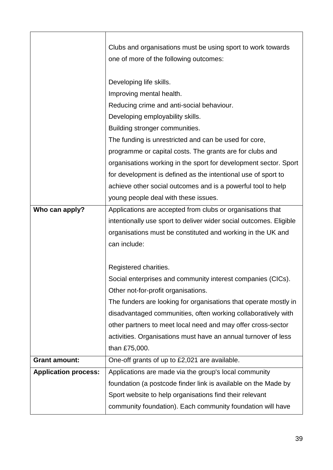|                             | Clubs and organisations must be using sport to work towards        |  |
|-----------------------------|--------------------------------------------------------------------|--|
|                             | one of more of the following outcomes:                             |  |
|                             |                                                                    |  |
|                             | Developing life skills.                                            |  |
|                             | Improving mental health.                                           |  |
|                             | Reducing crime and anti-social behaviour.                          |  |
|                             | Developing employability skills.                                   |  |
|                             | Building stronger communities.                                     |  |
|                             | The funding is unrestricted and can be used for core,              |  |
|                             | programme or capital costs. The grants are for clubs and           |  |
|                             | organisations working in the sport for development sector. Sport   |  |
|                             | for development is defined as the intentional use of sport to      |  |
|                             | achieve other social outcomes and is a powerful tool to help       |  |
|                             | young people deal with these issues.                               |  |
| Who can apply?              | Applications are accepted from clubs or organisations that         |  |
|                             | intentionally use sport to deliver wider social outcomes. Eligible |  |
|                             | organisations must be constituted and working in the UK and        |  |
|                             | can include:                                                       |  |
|                             |                                                                    |  |
|                             | Registered charities.                                              |  |
|                             | Social enterprises and community interest companies (CICs).        |  |
|                             | Other not-for-profit organisations.                                |  |
|                             | The funders are looking for organisations that operate mostly in   |  |
|                             | disadvantaged communities, often working collaboratively with      |  |
|                             | other partners to meet local need and may offer cross-sector       |  |
|                             | activities. Organisations must have an annual turnover of less     |  |
|                             | than £75,000.                                                      |  |
| <b>Grant amount:</b>        | One-off grants of up to £2,021 are available.                      |  |
| <b>Application process:</b> | Applications are made via the group's local community              |  |
|                             | foundation (a postcode finder link is available on the Made by     |  |
|                             | Sport website to help organisations find their relevant            |  |
|                             | community foundation). Each community foundation will have         |  |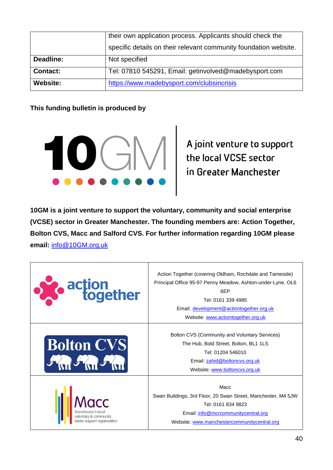|                 | their own application process. Applicants should check the       |  |
|-----------------|------------------------------------------------------------------|--|
|                 | specific details on their relevant community foundation website. |  |
| Deadline:       | Not specified                                                    |  |
| <b>Contact:</b> | Tel: 07810 545291, Email: getinvolved@madebysport.com            |  |
| <b>Website:</b> | https://www.madebysport.com/clubsincrisis                        |  |

#### **This funding bulletin is produced by**



**10GM is a joint venture to support the voluntary, community and social enterprise (VCSE) sector in Greater Manchester. The founding members are: Action Together, Bolton CVS, Macc and Salford CVS. For further information regarding 10GM please email:** [info@10GM.org.uk](mailto:info@10GM.org.uk)

| action<br>together                                                         | Action Together (covering Oldham, Rochdale and Tameside)<br>Principal Office 95-97 Penny Meadow, Ashton-under-Lyne, OL6<br>6EP<br>Tel: 0161 339 4985<br>Email: development@actiontogether.org.uk<br>Website: www.actiontogether.org.uk |
|----------------------------------------------------------------------------|----------------------------------------------------------------------------------------------------------------------------------------------------------------------------------------------------------------------------------------|
| <b>Bolton CVS</b>                                                          | Bolton CVS (Community and Voluntary Services)<br>The Hub, Bold Street, Bolton, BL1 1LS<br>Tel: 01204 546010<br>Email: zahid@boltoncvs.org.uk<br>Website: www.boltoncvs.org.uk                                                          |
| Manchester's local<br>voluntary & community<br>sector support organisation | Macc<br>Swan Buildings, 3rd Floor, 20 Swan Street, Manchester, M4 5JW<br>Tel: 0161 834 9823<br>Email: info@mcrcommunitycentral.org<br>Website: www.manchestercommunitycentral.org                                                      |